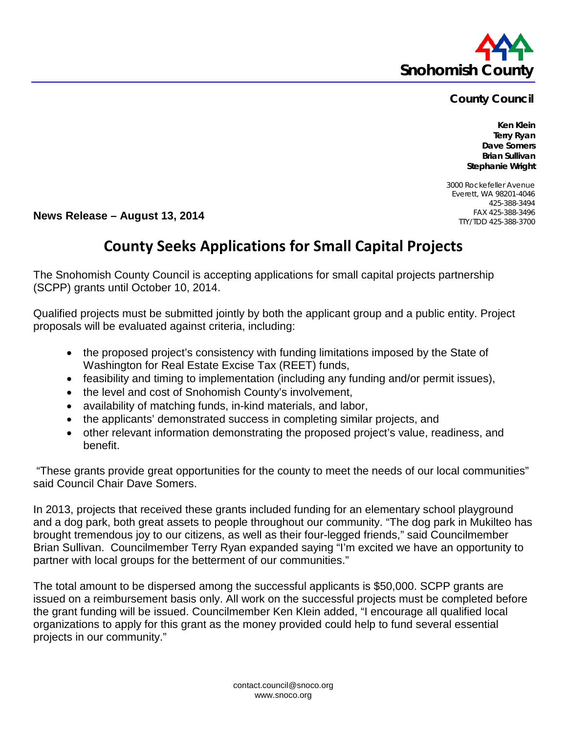

## **County Council**

**Ken Klein Terry Ryan Dave Somers Brian Sullivan Stephanie Wright**

3000 Rockefeller Avenue Everett, WA 98201-4046 425-388-3494 FAX 425-388-3496 TTY/TDD 425-388-3700

**News Release – August 13, 2014**

## **County Seeks Applications for Small Capital Projects**

The Snohomish County Council is accepting applications for small capital projects partnership (SCPP) grants until October 10, 2014.

Qualified projects must be submitted jointly by both the applicant group and a public entity. Project proposals will be evaluated against criteria, including:

- the proposed project's consistency with funding limitations imposed by the State of Washington for Real Estate Excise Tax (REET) funds,
- feasibility and timing to implementation (including any funding and/or permit issues),
- the level and cost of Snohomish County's involvement,
- availability of matching funds, in-kind materials, and labor,
- the applicants' demonstrated success in completing similar projects, and
- other relevant information demonstrating the proposed project's value, readiness, and benefit.

"These grants provide great opportunities for the county to meet the needs of our local communities" said Council Chair Dave Somers.

In 2013, projects that received these grants included funding for an elementary school playground and a dog park, both great assets to people throughout our community. "The dog park in Mukilteo has brought tremendous joy to our citizens, as well as their four-legged friends," said Councilmember Brian Sullivan. Councilmember Terry Ryan expanded saying "I'm excited we have an opportunity to partner with local groups for the betterment of our communities."

The total amount to be dispersed among the successful applicants is \$50,000. SCPP grants are issued on a reimbursement basis only. All work on the successful projects must be completed before the grant funding will be issued. Councilmember Ken Klein added, "I encourage all qualified local organizations to apply for this grant as the money provided could help to fund several essential projects in our community."